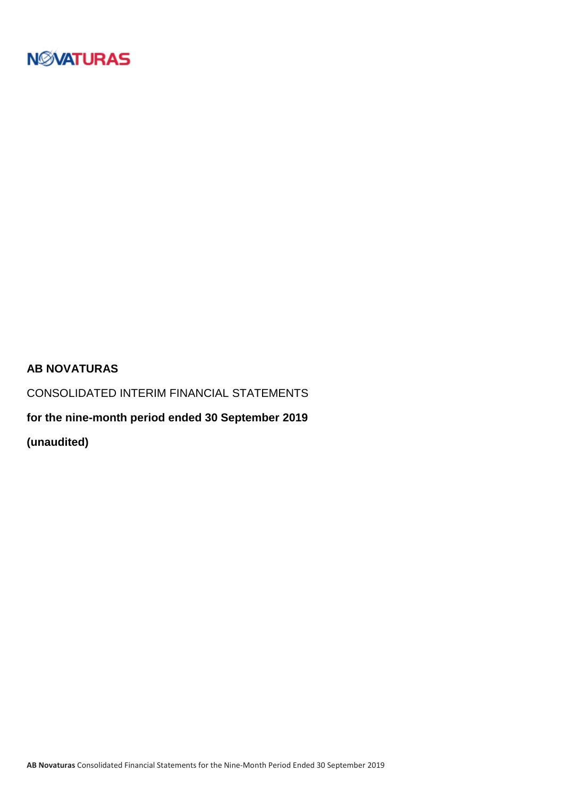

### **AB NOVATURAS**

CONSOLIDATED INTERIM FINANCIAL STATEMENTS

**for the nine-month period ended 30 September 2019**

**(unaudited)**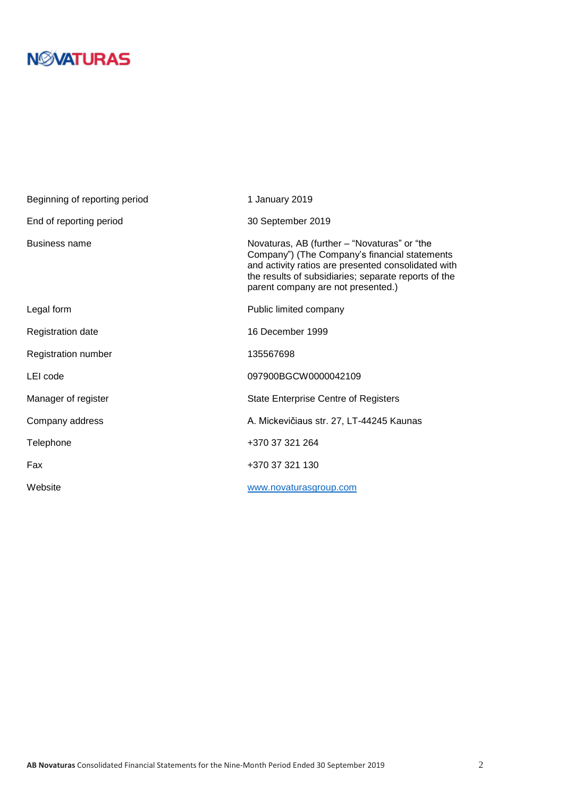| Beginning of reporting period | 1 January 2019                                                                                                                                                                                                                                     |
|-------------------------------|----------------------------------------------------------------------------------------------------------------------------------------------------------------------------------------------------------------------------------------------------|
| End of reporting period       | 30 September 2019                                                                                                                                                                                                                                  |
| <b>Business name</b>          | Novaturas, AB (further – "Novaturas" or "the<br>Company") (The Company's financial statements<br>and activity ratios are presented consolidated with<br>the results of subsidiaries; separate reports of the<br>parent company are not presented.) |
| Legal form                    | Public limited company                                                                                                                                                                                                                             |
| <b>Registration date</b>      | 16 December 1999                                                                                                                                                                                                                                   |
| Registration number           | 135567698                                                                                                                                                                                                                                          |
| LEI code                      | 097900BGCW0000042109                                                                                                                                                                                                                               |
| Manager of register           | <b>State Enterprise Centre of Registers</b>                                                                                                                                                                                                        |
| Company address               | A. Mickevičiaus str. 27, LT-44245 Kaunas                                                                                                                                                                                                           |
| Telephone                     | +370 37 321 264                                                                                                                                                                                                                                    |
| Fax                           | +370 37 321 130                                                                                                                                                                                                                                    |
| Website                       | www.novaturasgroup.com                                                                                                                                                                                                                             |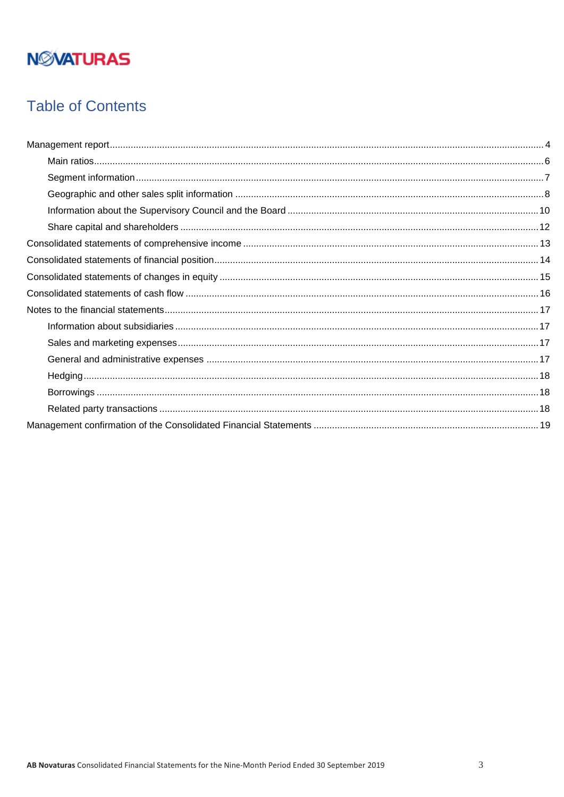## **Table of Contents**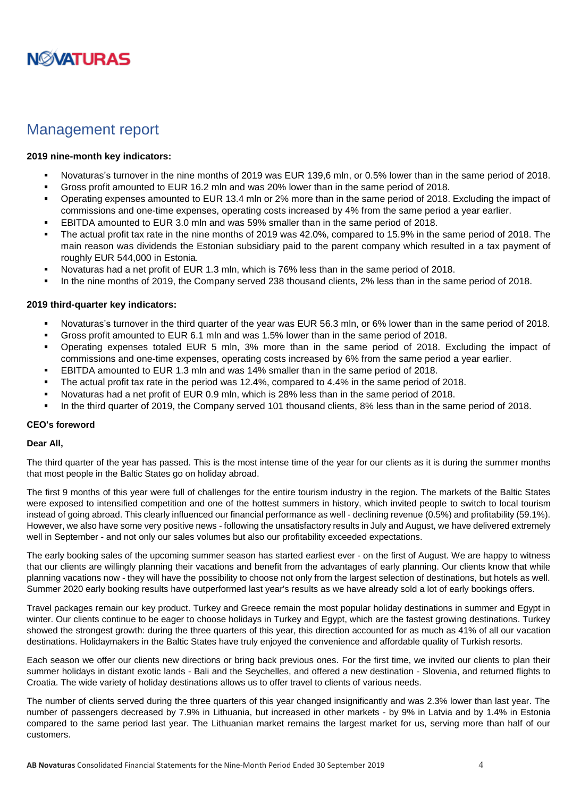

### <span id="page-3-0"></span>Management report

#### **2019 nine-month key indicators:**

- Novaturas's turnover in the nine months of 2019 was EUR 139,6 mln, or 0.5% lower than in the same period of 2018.
- Gross profit amounted to EUR 16.2 mln and was 20% lower than in the same period of 2018.
- Operating expenses amounted to EUR 13.4 mln or 2% more than in the same period of 2018. Excluding the impact of commissions and one-time expenses, operating costs increased by 4% from the same period a year earlier.
- EBITDA amounted to EUR 3.0 mln and was 59% smaller than in the same period of 2018.
- The actual profit tax rate in the nine months of 2019 was 42.0%, compared to 15.9% in the same period of 2018. The main reason was dividends the Estonian subsidiary paid to the parent company which resulted in a tax payment of roughly EUR 544,000 in Estonia.
- Novaturas had a net profit of EUR 1.3 mln, which is 76% less than in the same period of 2018.
- In the nine months of 2019, the Company served 238 thousand clients, 2% less than in the same period of 2018.

#### **2019 third-quarter key indicators:**

- Novaturas's turnover in the third quarter of the year was EUR 56.3 mln, or 6% lower than in the same period of 2018.
- Gross profit amounted to EUR 6.1 mln and was 1.5% lower than in the same period of 2018.
- Operating expenses totaled EUR 5 mln, 3% more than in the same period of 2018. Excluding the impact of commissions and one-time expenses, operating costs increased by 6% from the same period a year earlier.
- EBITDA amounted to EUR 1.3 mln and was 14% smaller than in the same period of 2018.
- The actual profit tax rate in the period was 12.4%, compared to 4.4% in the same period of 2018.
- Novaturas had a net profit of EUR 0.9 mln, which is 28% less than in the same period of 2018.
- In the third quarter of 2019, the Company served 101 thousand clients, 8% less than in the same period of 2018.

#### **CEO's foreword**

#### **Dear All,**

The third quarter of the year has passed. This is the most intense time of the year for our clients as it is during the summer months that most people in the Baltic States go on holiday abroad.

The first 9 months of this year were full of challenges for the entire tourism industry in the region. The markets of the Baltic States were exposed to intensified competition and one of the hottest summers in history, which invited people to switch to local tourism instead of going abroad. This clearly influenced our financial performance as well - declining revenue (0.5%) and profitability (59.1%). However, we also have some very positive news - following the unsatisfactory results in July and August, we have delivered extremely well in September - and not only our sales volumes but also our profitability exceeded expectations.

The early booking sales of the upcoming summer season has started earliest ever - on the first of August. We are happy to witness that our clients are willingly planning their vacations and benefit from the advantages of early planning. Our clients know that while planning vacations now - they will have the possibility to choose not only from the largest selection of destinations, but hotels as well. Summer 2020 early booking results have outperformed last year's results as we have already sold a lot of early bookings offers.

Travel packages remain our key product. Turkey and Greece remain the most popular holiday destinations in summer and Egypt in winter. Our clients continue to be eager to choose holidays in Turkey and Egypt, which are the fastest growing destinations. Turkey showed the strongest growth: during the three quarters of this year, this direction accounted for as much as 41% of all our vacation destinations. Holidaymakers in the Baltic States have truly enjoyed the convenience and affordable quality of Turkish resorts.

Each season we offer our clients new directions or bring back previous ones. For the first time, we invited our clients to plan their summer holidays in distant exotic lands - Bali and the Seychelles, and offered a new destination - Slovenia, and returned flights to Croatia. The wide variety of holiday destinations allows us to offer travel to clients of various needs.

The number of clients served during the three quarters of this year changed insignificantly and was 2.3% lower than last year. The number of passengers decreased by 7.9% in Lithuania, but increased in other markets - by 9% in Latvia and by 1.4% in Estonia compared to the same period last year. The Lithuanian market remains the largest market for us, serving more than half of our customers.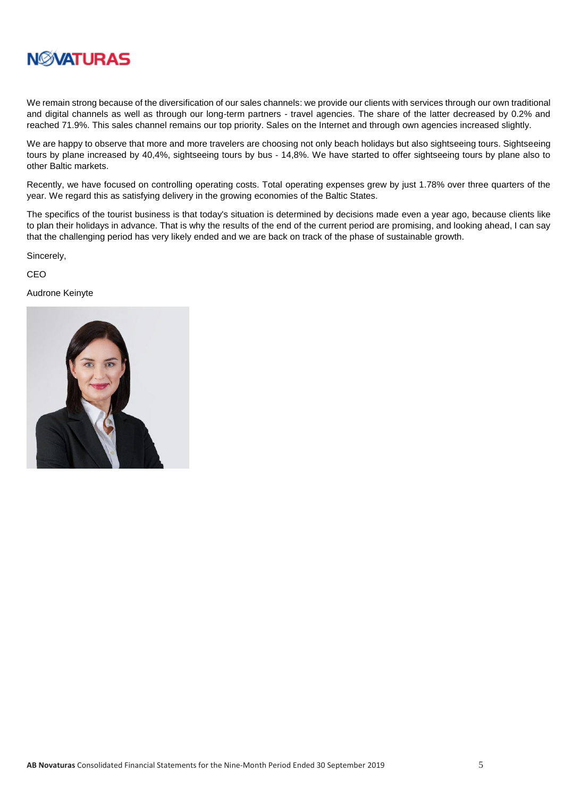

We remain strong because of the diversification of our sales channels: we provide our clients with services through our own traditional and digital channels as well as through our long-term partners - travel agencies. The share of the latter decreased by 0.2% and reached 71.9%. This sales channel remains our top priority. Sales on the Internet and through own agencies increased slightly.

We are happy to observe that more and more travelers are choosing not only beach holidays but also sightseeing tours. Sightseeing tours by plane increased by 40,4%, sightseeing tours by bus - 14,8%. We have started to offer sightseeing tours by plane also to other Baltic markets.

Recently, we have focused on controlling operating costs. Total operating expenses grew by just 1.78% over three quarters of the year. We regard this as satisfying delivery in the growing economies of the Baltic States.

The specifics of the tourist business is that today's situation is determined by decisions made even a year ago, because clients like to plan their holidays in advance. That is why the results of the end of the current period are promising, and looking ahead, I can say that the challenging period has very likely ended and we are back on track of the phase of sustainable growth.

Sincerely,

CEO

Audrone Keinyte

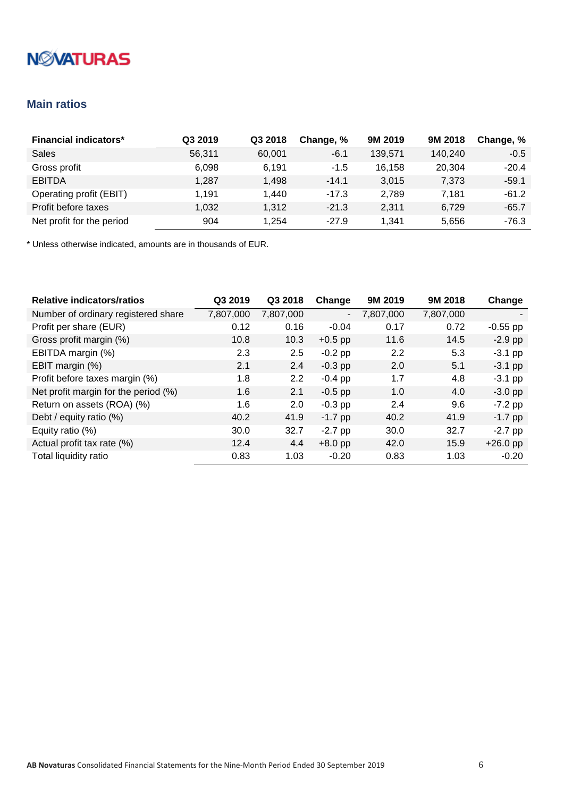### <span id="page-5-0"></span>**Main ratios**

| <b>Financial indicators*</b> | Q3 2019 | Q3 2018 | Change, % | 9M 2019 | 9M 2018 | Change, % |
|------------------------------|---------|---------|-----------|---------|---------|-----------|
| Sales                        | 56.311  | 60.001  | $-6.1$    | 139.571 | 140.240 | $-0.5$    |
| Gross profit                 | 6,098   | 6.191   | $-1.5$    | 16.158  | 20,304  | $-20.4$   |
| <b>EBITDA</b>                | 1.287   | 1,498   | $-14.1$   | 3,015   | 7,373   | $-59.1$   |
| Operating profit (EBIT)      | 1.191   | 1.440   | $-17.3$   | 2,789   | 7.181   | $-61.2$   |
| Profit before taxes          | 1,032   | 1.312   | $-21.3$   | 2,311   | 6.729   | $-65.7$   |
| Net profit for the period    | 904     | 1.254   | $-27.9$   | 1.341   | 5,656   | $-76.3$   |

| <b>Relative indicators/ratios</b>    | Q3 2019   | Q3 2018   | Change         | 9M 2019   | 9M 2018   | Change     |
|--------------------------------------|-----------|-----------|----------------|-----------|-----------|------------|
| Number of ordinary registered share  | 7,807,000 | 7,807,000 | $\blacksquare$ | 7,807,000 | 7,807,000 |            |
| Profit per share (EUR)               | 0.12      | 0.16      | $-0.04$        | 0.17      | 0.72      | $-0.55$ pp |
| Gross profit margin (%)              | 10.8      | 10.3      | $+0.5$ pp      | 11.6      | 14.5      | $-2.9$ pp  |
| EBITDA margin (%)                    | 2.3       | 2.5       | $-0.2$ pp      | 2.2       | 5.3       | $-3.1$ pp  |
| EBIT margin (%)                      | 2.1       | 2.4       | $-0.3$ pp      | 2.0       | 5.1       | $-3.1$ pp  |
| Profit before taxes margin (%)       | 1.8       | 2.2       | $-0.4$ pp      | 1.7       | 4.8       | $-3.1$ pp  |
| Net profit margin for the period (%) | 1.6       | 2.1       | $-0.5$ pp      | 1.0       | 4.0       | $-3.0$ pp  |
| Return on assets (ROA) (%)           | 1.6       | 2.0       | $-0.3$ pp      | 2.4       | 9.6       | $-7.2$ pp  |
| Debt / equity ratio (%)              | 40.2      | 41.9      | $-1.7$ pp      | 40.2      | 41.9      | $-1.7$ pp  |
| Equity ratio (%)                     | 30.0      | 32.7      | $-2.7$ pp      | 30.0      | 32.7      | $-2.7$ pp  |
| Actual profit tax rate (%)           | 12.4      | 4.4       | $+8.0$ pp      | 42.0      | 15.9      | $+26.0$ pp |
| Total liquidity ratio                | 0.83      | 1.03      | $-0.20$        | 0.83      | 1.03      | $-0.20$    |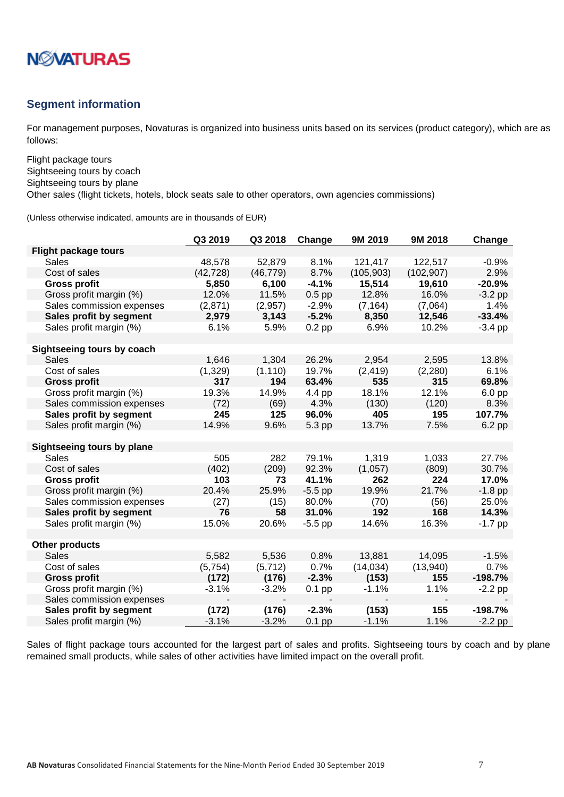

#### <span id="page-6-0"></span>**Segment information**

For management purposes, Novaturas is organized into business units based on its services (product category), which are as follows:

Flight package tours Sightseeing tours by coach Sightseeing tours by plane

Other sales (flight tickets, hotels, block seats sale to other operators, own agencies commissions)

(Unless otherwise indicated, amounts are in thousands of EUR)

|                                   | Q3 2019   | Q3 2018   | Change    | 9M 2019    | 9M 2018    | Change    |
|-----------------------------------|-----------|-----------|-----------|------------|------------|-----------|
| <b>Flight package tours</b>       |           |           |           |            |            |           |
| Sales                             | 48,578    | 52,879    | 8.1%      | 121,417    | 122,517    | $-0.9%$   |
| Cost of sales                     | (42, 728) | (46, 779) | 8.7%      | (105, 903) | (102, 907) | 2.9%      |
| <b>Gross profit</b>               | 5,850     | 6,100     | $-4.1%$   | 15,514     | 19,610     | $-20.9%$  |
| Gross profit margin (%)           | 12.0%     | 11.5%     | $0.5$ pp  | 12.8%      | 16.0%      | $-3.2$ pp |
| Sales commission expenses         | (2,871)   | (2,957)   | $-2.9%$   | (7, 164)   | (7,064)    | 1.4%      |
| Sales profit by segment           | 2,979     | 3,143     | $-5.2%$   | 8,350      | 12,546     | $-33.4%$  |
| Sales profit margin (%)           | 6.1%      | 5.9%      | $0.2$ pp  | 6.9%       | 10.2%      | $-3.4$ pp |
|                                   |           |           |           |            |            |           |
| Sightseeing tours by coach        |           |           |           |            |            |           |
| Sales                             | 1,646     | 1,304     | 26.2%     | 2,954      | 2,595      | 13.8%     |
| Cost of sales                     | (1, 329)  | (1, 110)  | 19.7%     | (2, 419)   | (2, 280)   | 6.1%      |
| <b>Gross profit</b>               | 317       | 194       | 63.4%     | 535        | 315        | 69.8%     |
| Gross profit margin (%)           | 19.3%     | 14.9%     | 4.4 pp    | 18.1%      | 12.1%      | $6.0$ pp  |
| Sales commission expenses         | (72)      | (69)      | 4.3%      | (130)      | (120)      | 8.3%      |
| Sales profit by segment           | 245       | 125       | 96.0%     | 405        | 195        | 107.7%    |
| Sales profit margin (%)           | 14.9%     | 9.6%      | 5.3 pp    | 13.7%      | 7.5%       | 6.2 pp    |
|                                   |           |           |           |            |            |           |
| <b>Sightseeing tours by plane</b> |           |           |           |            |            |           |
| <b>Sales</b>                      | 505       | 282       | 79.1%     | 1,319      | 1,033      | 27.7%     |
| Cost of sales                     | (402)     | (209)     | 92.3%     | (1,057)    | (809)      | 30.7%     |
| <b>Gross profit</b>               | 103       | 73        | 41.1%     | 262        | 224        | 17.0%     |
| Gross profit margin (%)           | 20.4%     | 25.9%     | $-5.5$ pp | 19.9%      | 21.7%      | $-1.8$ pp |
| Sales commission expenses         | (27)      | (15)      | 80.0%     | (70)       | (56)       | 25.0%     |
| Sales profit by segment           | 76        | 58        | 31.0%     | 192        | 168        | 14.3%     |
| Sales profit margin (%)           | 15.0%     | 20.6%     | $-5.5$ pp | 14.6%      | 16.3%      | $-1.7$ pp |
|                                   |           |           |           |            |            |           |
| <b>Other products</b>             |           |           |           |            |            |           |
| <b>Sales</b>                      | 5,582     | 5,536     | 0.8%      | 13,881     | 14,095     | $-1.5%$   |
| Cost of sales                     | (5,754)   | (5, 712)  | 0.7%      | (14, 034)  | (13,940)   | 0.7%      |
| <b>Gross profit</b>               | (172)     | (176)     | $-2.3%$   | (153)      | 155        | $-198.7%$ |
| Gross profit margin (%)           | $-3.1%$   | $-3.2%$   | $0.1$ pp  | $-1.1%$    | 1.1%       | $-2.2$ pp |
| Sales commission expenses         |           |           |           |            |            |           |
| Sales profit by segment           | (172)     | (176)     | $-2.3%$   | (153)      | 155        | $-198.7%$ |
| Sales profit margin (%)           | $-3.1%$   | $-3.2%$   | $0.1$ pp  | $-1.1%$    | 1.1%       | $-2.2$ pp |

Sales of flight package tours accounted for the largest part of sales and profits. Sightseeing tours by coach and by plane remained small products, while sales of other activities have limited impact on the overall profit.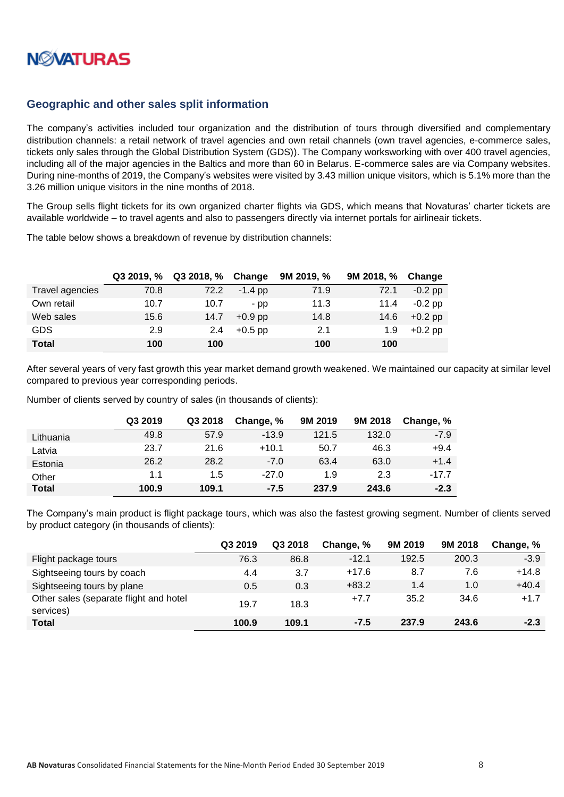

### <span id="page-7-0"></span>**Geographic and other sales split information**

The company's activities included tour organization and the distribution of tours through diversified and complementary distribution channels: a retail network of travel agencies and own retail channels (own travel agencies, e-commerce sales, tickets only sales through the Global Distribution System (GDS)). The Company worksworking with over 400 travel agencies, including all of the major agencies in the Baltics and more than 60 in Belarus. E-commerce sales are via Company websites. During nine-months of 2019, the Company's websites were visited by 3.43 million unique visitors, which is 5.1% more than the 3.26 million unique visitors in the nine months of 2018.

The Group sells flight tickets for its own organized charter flights via GDS, which means that Novaturas' charter tickets are available worldwide – to travel agents and also to passengers directly via internet portals for airlineair tickets.

The table below shows a breakdown of revenue by distribution channels:

|                 |      | Q3 2019, % Q3 2018, % | Change    | 9M 2019, % | 9M 2018, % | Change    |
|-----------------|------|-----------------------|-----------|------------|------------|-----------|
| Travel agencies | 70.8 | 72.2                  | $-1.4$ pp | 71.9       | 72.1       | $-0.2$ pp |
| Own retail      | 10.7 | 10.7                  | - pp      | 11.3       | 11.4       | $-0.2$ pp |
| Web sales       | 15.6 | 14.7                  | $+0.9$ pp | 14.8       | 14.6       | $+0.2$ pp |
| <b>GDS</b>      | 2.9  | 2.4                   | $+0.5$ pp | 2.1        | 1.9        | $+0.2$ pp |
| <b>Total</b>    | 100  | 100                   |           | 100        | 100        |           |

After several years of very fast growth this year market demand growth weakened. We maintained our capacity at similar level compared to previous year corresponding periods.

Number of clients served by country of sales (in thousands of clients):

|              | Q3 2019 | Q3 2018 | Change, % | 9M 2019 | 9M 2018 | Change, % |
|--------------|---------|---------|-----------|---------|---------|-----------|
| Lithuania    | 49.8    | 57.9    | $-13.9$   | 121.5   | 132.0   | $-7.9$    |
| Latvia       | 23.7    | 21.6    | $+10.1$   | 50.7    | 46.3    | $+9.4$    |
| Estonia      | 26.2    | 28.2    | $-7.0$    | 63.4    | 63.0    | $+1.4$    |
| Other        | 1.1     | 1.5     | $-27.0$   | 1.9     | 2.3     | $-17.7$   |
| <b>Total</b> | 100.9   | 109.1   | $-7.5$    | 237.9   | 243.6   | $-2.3$    |

The Company's main product is flight package tours, which was also the fastest growing segment. Number of clients served by product category (in thousands of clients):

|                                                     | Q3 2019 | Q3 2018 | Change, % | 9M 2019 | 9M 2018 | Change, % |
|-----------------------------------------------------|---------|---------|-----------|---------|---------|-----------|
| Flight package tours                                | 76.3    | 86.8    | $-12.1$   | 192.5   | 200.3   | $-3.9$    |
| Sightseeing tours by coach                          | 4.4     | 3.7     | $+17.6$   | 8.7     | 7.6     | $+14.8$   |
| Sightseeing tours by plane                          | 0.5     | 0.3     | $+83.2$   | 1.4     | 1.0     | $+40.4$   |
| Other sales (separate flight and hotel<br>services) | 19.7    | 18.3    | $+7.7$    | 35.2    | 34.6    | $+1.7$    |
| <b>Total</b>                                        | 100.9   | 109.1   | $-7.5$    | 237.9   | 243.6   | $-2.3$    |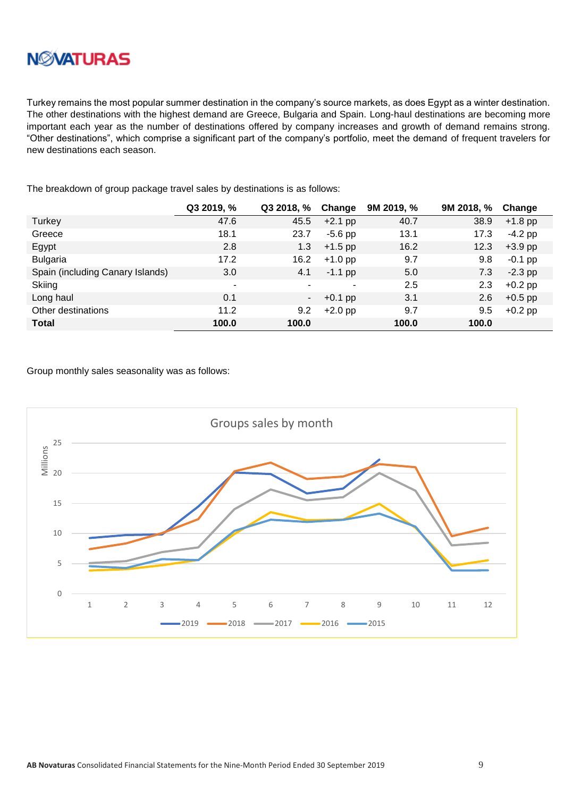

Turkey remains the most popular summer destination in the company's source markets, as does Egypt as a winter destination. The other destinations with the highest demand are Greece, Bulgaria and Spain. Long-haul destinations are becoming more important each year as the number of destinations offered by company increases and growth of demand remains strong. "Other destinations", which comprise a significant part of the company's portfolio, meet the demand of frequent travelers for new destinations each season.

The breakdown of group package travel sales by destinations is as follows:

|                                  | Q3 2019, % | Q3 2018, % | Change    | 9M 2019, % | 9M 2018, % | Change    |
|----------------------------------|------------|------------|-----------|------------|------------|-----------|
| Turkey                           | 47.6       | 45.5       | $+2.1$ pp | 40.7       | 38.9       | $+1.8$ pp |
| Greece                           | 18.1       | 23.7       | $-5.6$ pp | 13.1       | 17.3       | $-4.2$ pp |
| Egypt                            | 2.8        | 1.3        | $+1.5$ pp | 16.2       | 12.3       | $+3.9$ pp |
| <b>Bulgaria</b>                  | 17.2       | 16.2       | $+1.0$ pp | 9.7        | 9.8        | $-0.1$ pp |
| Spain (including Canary Islands) | 3.0        | 4.1        | $-1.1$ pp | 5.0        | 7.3        | $-2.3$ pp |
| Skiing                           | ٠          |            | ٠         | 2.5        | 2.3        | $+0.2$ pp |
| Long haul                        | 0.1        | ۰.         | $+0.1$ pp | 3.1        | 2.6        | $+0.5$ pp |
| Other destinations               | 11.2       | 9.2        | $+2.0$ pp | 9.7        | 9.5        | $+0.2$ pp |
| <b>Total</b>                     | 100.0      | 100.0      |           | 100.0      | 100.0      |           |

Group monthly sales seasonality was as follows:

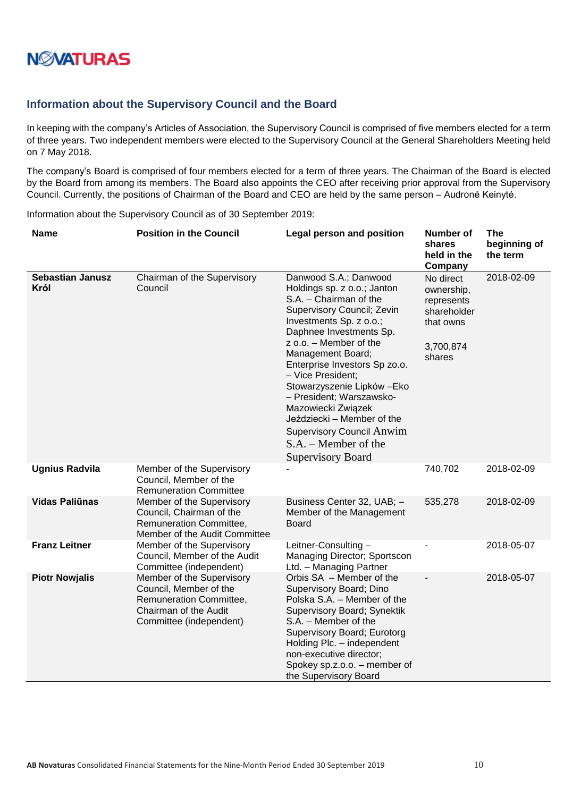

### <span id="page-9-0"></span>**Information about the Supervisory Council and the Board**

In keeping with the company's Articles of Association, the Supervisory Council is comprised of five members elected for a term of three years. Two independent members were elected to the Supervisory Council at the General Shareholders Meeting held on 7 May 2018.

The company's Board is comprised of four members elected for a term of three years. The Chairman of the Board is elected by the Board from among its members. The Board also appoints the CEO after receiving prior approval from the Supervisory Council. Currently, the positions of Chairman of the Board and CEO are held by the same person – Audronė Keinytė.

Information about the Supervisory Council as of 30 September 2019:

| <b>Name</b>                     | <b>Position in the Council</b>                                                                                                     | <b>Legal person and position</b>                                                                                                                                                                                                                                                                                                                                                                                                                                                 | <b>Number of</b><br>shares<br>held in the<br>Company                                     | <b>The</b><br>beginning of<br>the term |
|---------------------------------|------------------------------------------------------------------------------------------------------------------------------------|----------------------------------------------------------------------------------------------------------------------------------------------------------------------------------------------------------------------------------------------------------------------------------------------------------------------------------------------------------------------------------------------------------------------------------------------------------------------------------|------------------------------------------------------------------------------------------|----------------------------------------|
| <b>Sebastian Janusz</b><br>Król | Chairman of the Supervisory<br>Council                                                                                             | Danwood S.A.; Danwood<br>Holdings sp. z o.o.; Janton<br>S.A. - Chairman of the<br>Supervisory Council; Zevin<br>Investments Sp. z o.o.;<br>Daphnee Investments Sp.<br>z o.o. - Member of the<br>Management Board;<br>Enterprise Investors Sp zo.o.<br>- Vice President;<br>Stowarzyszenie Lipków - Eko<br>- President; Warszawsko-<br>Mazowiecki Związek<br>Jeździecki - Member of the<br><b>Supervisory Council Anwim</b><br>$S.A. - Member of the$<br><b>Supervisory Board</b> | No direct<br>ownership,<br>represents<br>shareholder<br>that owns<br>3,700,874<br>shares | 2018-02-09                             |
| <b>Ugnius Radvila</b>           | Member of the Supervisory<br>Council, Member of the<br><b>Remuneration Committee</b>                                               |                                                                                                                                                                                                                                                                                                                                                                                                                                                                                  | 740,702                                                                                  | 2018-02-09                             |
| <b>Vidas Paliūnas</b>           | Member of the Supervisory<br>Council, Chairman of the<br><b>Remuneration Committee,</b><br>Member of the Audit Committee           | Business Center 32, UAB; -<br>Member of the Management<br>Board                                                                                                                                                                                                                                                                                                                                                                                                                  | 535,278                                                                                  | 2018-02-09                             |
| <b>Franz Leitner</b>            | Member of the Supervisory<br>Council, Member of the Audit<br>Committee (independent)                                               | Leitner-Consulting-<br>Managing Director; Sportscon<br>Ltd. - Managing Partner                                                                                                                                                                                                                                                                                                                                                                                                   |                                                                                          | 2018-05-07                             |
| <b>Piotr Nowjalis</b>           | Member of the Supervisory<br>Council, Member of the<br>Remuneration Committee,<br>Chairman of the Audit<br>Committee (independent) | Orbis SA - Member of the<br>Supervisory Board; Dino<br>Polska S.A. - Member of the<br>Supervisory Board; Synektik<br>S.A. - Member of the<br>Supervisory Board; Eurotorg<br>Holding Plc. - independent<br>non-executive director;<br>Spokey sp.z.o.o. - member of<br>the Supervisory Board                                                                                                                                                                                       |                                                                                          | 2018-05-07                             |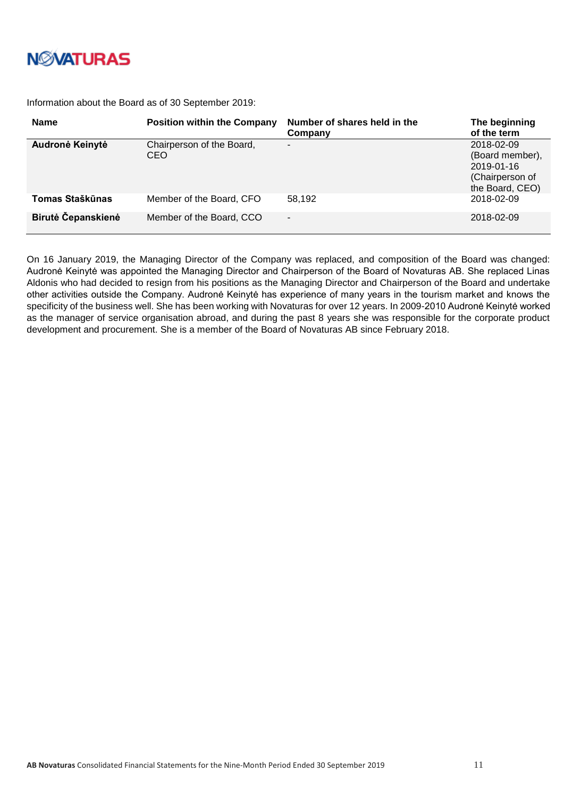

Information about the Board as of 30 September 2019:

| <b>Name</b>        | <b>Position within the Company</b> | Number of shares held in the<br>Company | The beginning<br>of the term                                                      |
|--------------------|------------------------------------|-----------------------------------------|-----------------------------------------------------------------------------------|
| Audronė Keinytė    | Chairperson of the Board,<br>CEO   | -                                       | 2018-02-09<br>(Board member),<br>2019-01-16<br>(Chairperson of<br>the Board, CEO) |
| Tomas Staškūnas    | Member of the Board, CFO           | 58.192                                  | 2018-02-09                                                                        |
| Birutė Čepanskienė | Member of the Board, CCO           | -                                       | 2018-02-09                                                                        |

On 16 January 2019, the Managing Director of the Company was replaced, and composition of the Board was changed: Audronė Keinytė was appointed the Managing Director and Chairperson of the Board of Novaturas AB. She replaced Linas Aldonis who had decided to resign from his positions as the Managing Director and Chairperson of the Board and undertake other activities outside the Company. Audronė Keinytė has experience of many years in the tourism market and knows the specificity of the business well. She has been working with Novaturas for over 12 years. In 2009-2010 Audronė Keinytė worked as the manager of service organisation abroad, and during the past 8 years she was responsible for the corporate product development and procurement. She is a member of the Board of Novaturas AB since February 2018.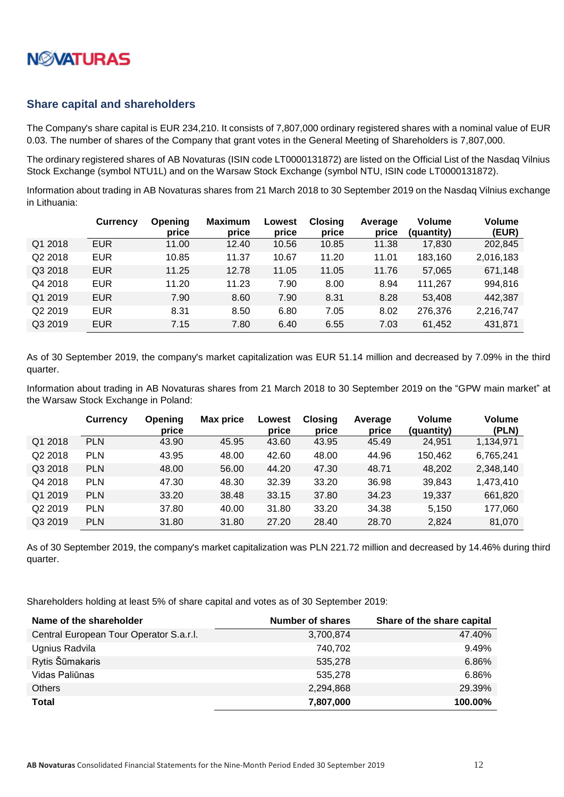

#### <span id="page-11-0"></span>**Share capital and shareholders**

The Company's share capital is EUR 234,210. It consists of 7,807,000 ordinary registered shares with a nominal value of EUR 0.03. The number of shares of the Company that grant votes in the General Meeting of Shareholders is 7,807,000.

The ordinary registered shares of AB Novaturas (ISIN code LT0000131872) are listed on the Official List of the Nasdaq Vilnius Stock Exchange (symbol NTU1L) and on the Warsaw Stock Exchange (symbol NTU, ISIN code LT0000131872).

Information about trading in AB Novaturas shares from 21 March 2018 to 30 September 2019 on the Nasdaq Vilnius exchange in Lithuania:

|                     | Currency   | Opening<br>price | <b>Maximum</b><br>price | Lowest<br>price | <b>Closing</b><br>price | Average<br>price | <b>Volume</b><br>(quantity) | Volume<br>(EUR) |
|---------------------|------------|------------------|-------------------------|-----------------|-------------------------|------------------|-----------------------------|-----------------|
| Q1 2018             | <b>EUR</b> | 11.00            | 12.40                   | 10.56           | 10.85                   | 11.38            | 17,830                      | 202,845         |
| Q2 2018             | <b>EUR</b> | 10.85            | 11.37                   | 10.67           | 11.20                   | 11.01            | 183,160                     | 2,016,183       |
| Q3 2018             | <b>EUR</b> | 11.25            | 12.78                   | 11.05           | 11.05                   | 11.76            | 57,065                      | 671,148         |
| Q4 2018             | <b>EUR</b> | 11.20            | 11.23                   | 7.90            | 8.00                    | 8.94             | 111,267                     | 994,816         |
| Q1 2019             | <b>EUR</b> | 7.90             | 8.60                    | 7.90            | 8.31                    | 8.28             | 53,408                      | 442,387         |
| Q <sub>2</sub> 2019 | <b>EUR</b> | 8.31             | 8.50                    | 6.80            | 7.05                    | 8.02             | 276,376                     | 2,216,747       |
| Q3 2019             | <b>EUR</b> | 7.15             | 7.80                    | 6.40            | 6.55                    | 7.03             | 61,452                      | 431,871         |

As of 30 September 2019, the company's market capitalization was EUR 51.14 million and decreased by 7.09% in the third quarter.

Information about trading in AB Novaturas shares from 21 March 2018 to 30 September 2019 on the "GPW main market" at the Warsaw Stock Exchange in Poland:

|                     | <b>Currency</b> | Opening<br>price | Max price | Lowest<br>price | <b>Closing</b><br>price | Average<br>price | <b>Volume</b><br>(quantity) | <b>Volume</b><br>(PLN) |
|---------------------|-----------------|------------------|-----------|-----------------|-------------------------|------------------|-----------------------------|------------------------|
| Q1 2018             | <b>PLN</b>      | 43.90            | 45.95     | 43.60           | 43.95                   | 45.49            | 24,951                      | 1,134,971              |
| Q2 2018             | <b>PLN</b>      | 43.95            | 48.00     | 42.60           | 48.00                   | 44.96            | 150,462                     | 6,765,241              |
| Q3 2018             | <b>PLN</b>      | 48.00            | 56.00     | 44.20           | 47.30                   | 48.71            | 48,202                      | 2,348,140              |
| Q4 2018             | <b>PLN</b>      | 47.30            | 48.30     | 32.39           | 33.20                   | 36.98            | 39,843                      | 1,473,410              |
| Q1 2019             | <b>PLN</b>      | 33.20            | 38.48     | 33.15           | 37.80                   | 34.23            | 19,337                      | 661,820                |
| Q <sub>2</sub> 2019 | <b>PLN</b>      | 37.80            | 40.00     | 31.80           | 33.20                   | 34.38            | 5,150                       | 177,060                |
| Q3 2019             | <b>PLN</b>      | 31.80            | 31.80     | 27.20           | 28.40                   | 28.70            | 2,824                       | 81,070                 |

As of 30 September 2019, the company's market capitalization was PLN 221.72 million and decreased by 14.46% during third quarter.

Shareholders holding at least 5% of share capital and votes as of 30 September 2019:

| Name of the shareholder                 | <b>Number of shares</b> | Share of the share capital |
|-----------------------------------------|-------------------------|----------------------------|
| Central European Tour Operator S.a.r.l. | 3,700,874               | 47.40%                     |
| Ugnius Radvila                          | 740.702                 | 9.49%                      |
| Rytis Šūmakaris                         | 535,278                 | 6.86%                      |
| Vidas Paliūnas                          | 535.278                 | 6.86%                      |
| <b>Others</b>                           | 2,294,868               | 29.39%                     |
| <b>Total</b>                            | 7,807,000               | 100.00%                    |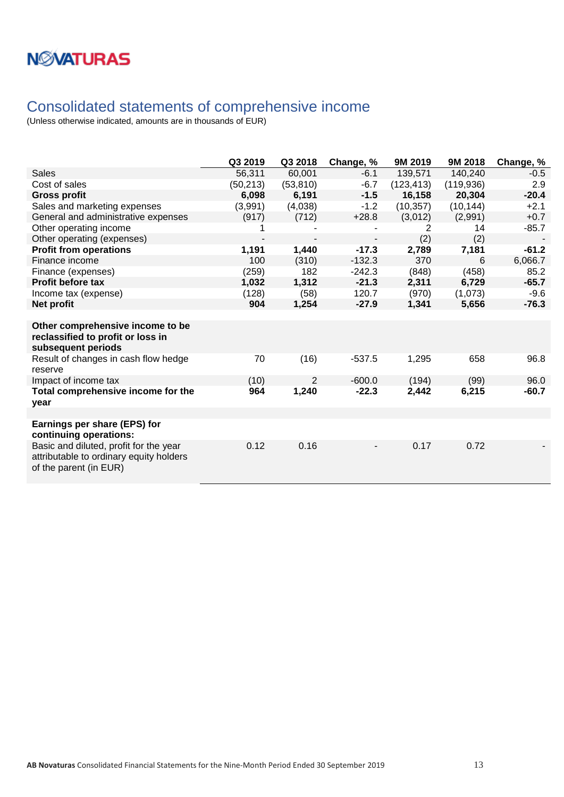

## <span id="page-12-0"></span>Consolidated statements of comprehensive income

|                                                                                                             | Q3 2019   | Q3 2018   | Change, % | 9M 2019    | 9M 2018    | Change, % |
|-------------------------------------------------------------------------------------------------------------|-----------|-----------|-----------|------------|------------|-----------|
| <b>Sales</b>                                                                                                | 56,311    | 60,001    | $-6.1$    | 139,571    | 140,240    | $-0.5$    |
| Cost of sales                                                                                               | (50, 213) | (53, 810) | $-6.7$    | (123, 413) | (119, 936) | 2.9       |
| <b>Gross profit</b>                                                                                         | 6,098     | 6,191     | $-1.5$    | 16,158     | 20,304     | $-20.4$   |
| Sales and marketing expenses                                                                                | (3,991)   | (4,038)   | $-1.2$    | (10, 357)  | (10, 144)  | $+2.1$    |
| General and administrative expenses                                                                         | (917)     | (712)     | $+28.8$   | (3,012)    | (2,991)    | $+0.7$    |
| Other operating income                                                                                      |           |           |           | 2          | 14         | $-85.7$   |
| Other operating (expenses)                                                                                  |           |           |           | (2)        | (2)        |           |
| <b>Profit from operations</b>                                                                               | 1,191     | 1,440     | $-17.3$   | 2,789      | 7,181      | $-61.2$   |
| Finance income                                                                                              | 100       | (310)     | $-132.3$  | 370        | 6          | 6,066.7   |
| Finance (expenses)                                                                                          | (259)     | 182       | $-242.3$  | (848)      | (458)      | 85.2      |
| Profit before tax                                                                                           | 1,032     | 1,312     | $-21.3$   | 2,311      | 6,729      | $-65.7$   |
| Income tax (expense)                                                                                        | (128)     | (58)      | 120.7     | (970)      | (1,073)    | $-9.6$    |
| Net profit                                                                                                  | 904       | 1,254     | $-27.9$   | 1,341      | 5,656      | $-76.3$   |
|                                                                                                             |           |           |           |            |            |           |
| Other comprehensive income to be<br>reclassified to profit or loss in<br>subsequent periods                 |           |           |           |            |            |           |
| Result of changes in cash flow hedge<br>reserve                                                             | 70        | (16)      | $-537.5$  | 1,295      | 658        | 96.8      |
| Impact of income tax                                                                                        | (10)      | 2         | $-600.0$  | (194)      | (99)       | 96.0      |
| Total comprehensive income for the<br>vear                                                                  | 964       | 1,240     | $-22.3$   | 2,442      | 6,215      | $-60.7$   |
|                                                                                                             |           |           |           |            |            |           |
| Earnings per share (EPS) for<br>continuing operations:                                                      |           |           |           |            |            |           |
| Basic and diluted, profit for the year<br>attributable to ordinary equity holders<br>of the parent (in EUR) | 0.12      | 0.16      |           | 0.17       | 0.72       |           |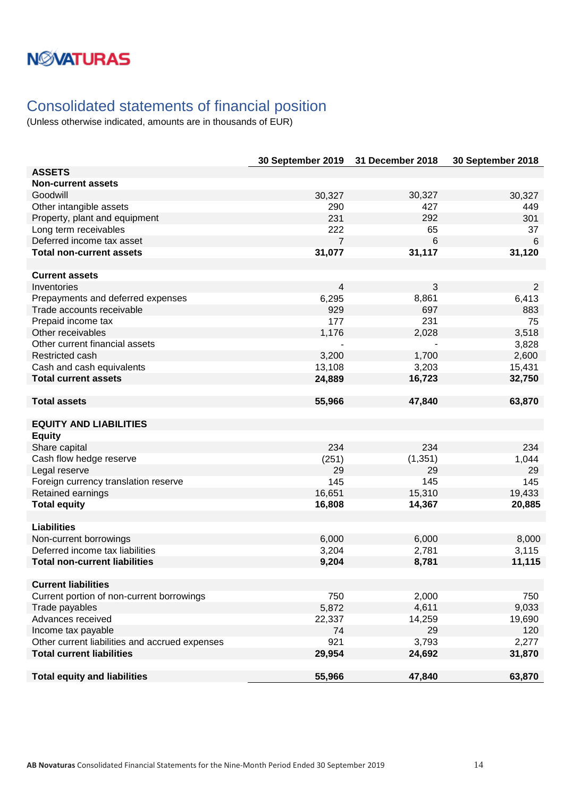## <span id="page-13-0"></span>Consolidated statements of financial position

|                                                | 30 September 2019 | 31 December 2018 | 30 September 2018 |
|------------------------------------------------|-------------------|------------------|-------------------|
| <b>ASSETS</b>                                  |                   |                  |                   |
| <b>Non-current assets</b>                      |                   |                  |                   |
| Goodwill                                       | 30,327            | 30,327           | 30,327            |
| Other intangible assets                        | 290               | 427              | 449               |
| Property, plant and equipment                  | 231               | 292              | 301               |
| Long term receivables                          | 222               | 65               | 37                |
| Deferred income tax asset                      | 7                 | 6                | $6\phantom{1}6$   |
| <b>Total non-current assets</b>                | 31,077            | 31,117           | 31,120            |
|                                                |                   |                  |                   |
| <b>Current assets</b>                          |                   |                  |                   |
| Inventories                                    | 4                 | 3                | 2                 |
| Prepayments and deferred expenses              | 6,295             | 8,861            | 6,413             |
| Trade accounts receivable                      | 929               | 697              | 883               |
| Prepaid income tax                             | 177               | 231              | 75                |
| Other receivables                              | 1,176             | 2,028            | 3,518             |
| Other current financial assets                 |                   |                  | 3,828             |
| Restricted cash                                | 3,200             | 1,700            | 2,600             |
| Cash and cash equivalents                      | 13,108            | 3,203            | 15,431            |
| <b>Total current assets</b>                    | 24,889            | 16,723           | 32,750            |
|                                                |                   |                  |                   |
| <b>Total assets</b>                            | 55,966            | 47,840           | 63,870            |
|                                                |                   |                  |                   |
| <b>EQUITY AND LIABILITIES</b>                  |                   |                  |                   |
| <b>Equity</b>                                  |                   |                  |                   |
| Share capital                                  | 234               | 234              | 234               |
| Cash flow hedge reserve                        | (251)             | (1, 351)         | 1,044             |
| Legal reserve                                  | 29                | 29               | 29                |
| Foreign currency translation reserve           | 145               | 145              | 145               |
| Retained earnings                              | 16,651            | 15,310           | 19,433            |
| <b>Total equity</b>                            | 16,808            | 14,367           | 20,885            |
|                                                |                   |                  |                   |
| <b>Liabilities</b>                             |                   |                  |                   |
| Non-current borrowings                         | 6,000             | 6,000            | 8,000             |
| Deferred income tax liabilities                | 3,204             | 2,781            | 3,115             |
| <b>Total non-current liabilities</b>           | 9,204             | 8,781            | 11,115            |
|                                                |                   |                  |                   |
| <b>Current liabilities</b>                     |                   |                  |                   |
| Current portion of non-current borrowings      | 750               | 2,000            | 750               |
| Trade payables                                 | 5,872             | 4,611            | 9,033             |
| Advances received                              | 22,337            | 14,259           | 19,690            |
| Income tax payable                             | 74                | 29               | 120               |
| Other current liabilities and accrued expenses | 921               | 3,793            | 2,277             |
| <b>Total current liabilities</b>               | 29,954            | 24,692           | 31,870            |
|                                                |                   |                  |                   |
| <b>Total equity and liabilities</b>            | 55,966            | 47,840           | 63,870            |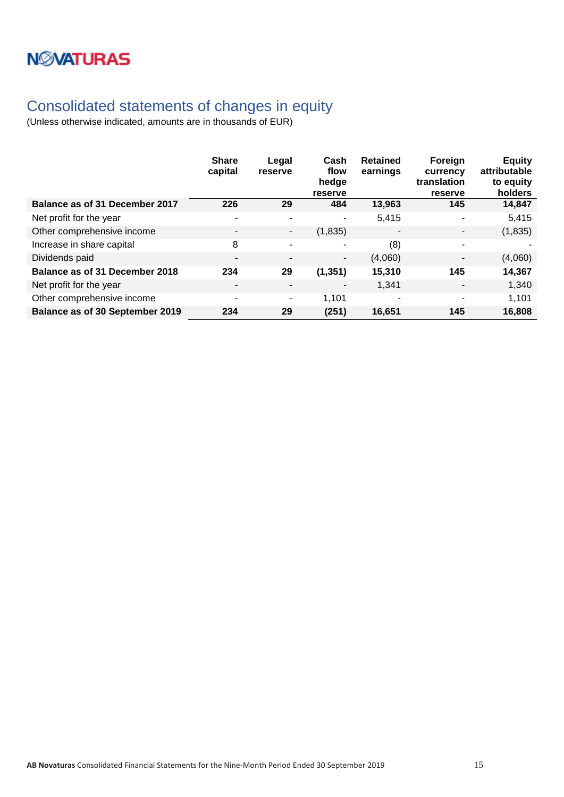# **NWATURAS**

## <span id="page-14-0"></span>Consolidated statements of changes in equity

|                                       | <b>Share</b><br>capital  | Legal<br>reserve         | Cash<br>flow<br>hedge<br>reserve | <b>Retained</b><br>earnings | Foreign<br>currency<br>translation<br>reserve | <b>Equity</b><br>attributable<br>to equity<br>holders |
|---------------------------------------|--------------------------|--------------------------|----------------------------------|-----------------------------|-----------------------------------------------|-------------------------------------------------------|
| <b>Balance as of 31 December 2017</b> | 226                      | 29                       | 484                              | 13,963                      | 145                                           | 14,847                                                |
| Net profit for the year               | $\blacksquare$           | $\blacksquare$           | ۰                                | 5,415                       | $\sim$                                        | 5,415                                                 |
| Other comprehensive income            | $\overline{\phantom{a}}$ | $\overline{\phantom{a}}$ | (1,835)                          |                             | $\blacksquare$                                | (1,835)                                               |
| Increase in share capital             | 8                        | ۰                        |                                  | (8)                         | $\sim$                                        |                                                       |
| Dividends paid                        | $\overline{\phantom{a}}$ | $\blacksquare$           | ٠                                | (4,060)                     | $\blacksquare$                                | (4,060)                                               |
| Balance as of 31 December 2018        | 234                      | 29                       | (1, 351)                         | 15,310                      | 145                                           | 14,367                                                |
| Net profit for the year               | $\overline{\phantom{a}}$ | -                        |                                  | 1,341                       | $\blacksquare$                                | 1,340                                                 |
| Other comprehensive income            | $\overline{\phantom{a}}$ | ۰                        | 1,101                            | ۰                           | ۰                                             | 1,101                                                 |
| Balance as of 30 September 2019       | 234                      | 29                       | (251)                            | 16.651                      | 145                                           | 16,808                                                |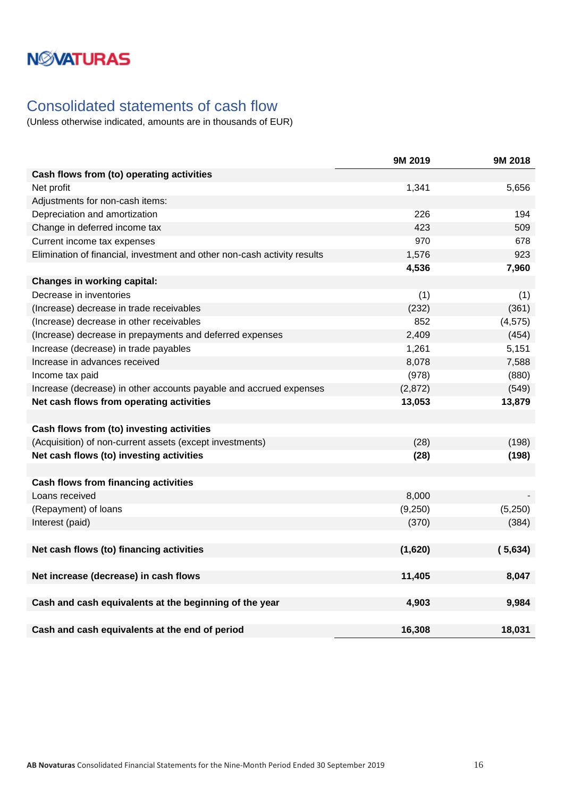### <span id="page-15-0"></span>Consolidated statements of cash flow

|                                                                          | 9M 2019 | 9M 2018  |
|--------------------------------------------------------------------------|---------|----------|
| Cash flows from (to) operating activities                                |         |          |
| Net profit                                                               | 1,341   | 5,656    |
| Adjustments for non-cash items:                                          |         |          |
| Depreciation and amortization                                            | 226     | 194      |
| Change in deferred income tax                                            | 423     | 509      |
| Current income tax expenses                                              | 970     | 678      |
| Elimination of financial, investment and other non-cash activity results | 1,576   | 923      |
|                                                                          | 4,536   | 7,960    |
| <b>Changes in working capital:</b>                                       |         |          |
| Decrease in inventories                                                  | (1)     | (1)      |
| (Increase) decrease in trade receivables                                 | (232)   | (361)    |
| (Increase) decrease in other receivables                                 | 852     | (4, 575) |
| (Increase) decrease in prepayments and deferred expenses                 | 2,409   | (454)    |
| Increase (decrease) in trade payables                                    | 1,261   | 5,151    |
| Increase in advances received                                            | 8,078   | 7,588    |
| Income tax paid                                                          | (978)   | (880)    |
| Increase (decrease) in other accounts payable and accrued expenses       | (2,872) | (549)    |
| Net cash flows from operating activities                                 | 13,053  | 13,879   |
|                                                                          |         |          |
| Cash flows from (to) investing activities                                |         |          |
| (Acquisition) of non-current assets (except investments)                 | (28)    | (198)    |
| Net cash flows (to) investing activities                                 | (28)    | (198)    |
|                                                                          |         |          |
| <b>Cash flows from financing activities</b>                              |         |          |
| Loans received                                                           | 8,000   |          |
| (Repayment) of loans                                                     | (9,250) | (5,250)  |
| Interest (paid)                                                          | (370)   | (384)    |
|                                                                          |         |          |
| Net cash flows (to) financing activities                                 | (1,620) | (5,634)  |
|                                                                          |         |          |
| Net increase (decrease) in cash flows                                    | 11,405  | 8,047    |
|                                                                          |         |          |
| Cash and cash equivalents at the beginning of the year                   | 4,903   | 9,984    |
|                                                                          |         |          |
| Cash and cash equivalents at the end of period                           | 16,308  | 18,031   |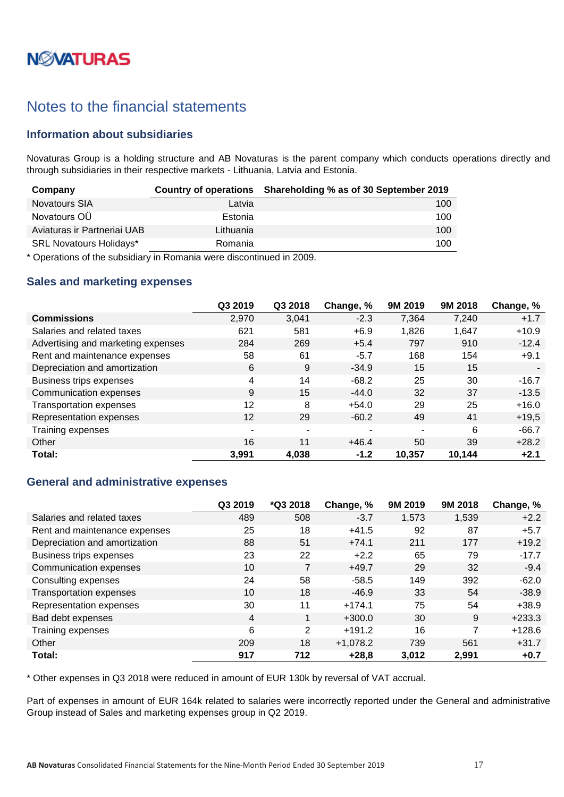# **N***N***XATURAS**

### <span id="page-16-0"></span>Notes to the financial statements

### <span id="page-16-1"></span>**Information about subsidiaries**

Novaturas Group is a holding structure and AB Novaturas is the parent company which conducts operations directly and through subsidiaries in their respective markets - Lithuania, Latvia and Estonia.

| Company                        |           | Country of operations Shareholding % as of 30 September 2019 |
|--------------------------------|-----------|--------------------------------------------------------------|
| <b>Novatours SIA</b>           | Latvia    | 100                                                          |
| Novatours OU                   | Estonia   | 100                                                          |
| Aviaturas ir Partneriai UAB    | Lithuania | 100                                                          |
| <b>SRL Novatours Holidays*</b> | Romania   | 100                                                          |

\* Operations of the subsidiary in Romania were discontinued in 2009.

#### <span id="page-16-2"></span>**Sales and marketing expenses**

|                                    | Q3 2019 | Q3 2018                  | Change, % | 9M 2019 | 9M 2018 | Change, % |
|------------------------------------|---------|--------------------------|-----------|---------|---------|-----------|
| <b>Commissions</b>                 | 2,970   | 3,041                    | $-2.3$    | 7,364   | 7,240   | $+1.7$    |
| Salaries and related taxes         | 621     | 581                      | $+6.9$    | 1,826   | 1,647   | $+10.9$   |
| Advertising and marketing expenses | 284     | 269                      | $+5.4$    | 797     | 910     | $-12.4$   |
| Rent and maintenance expenses      | 58      | 61                       | $-5.7$    | 168     | 154     | $+9.1$    |
| Depreciation and amortization      | 6       | 9                        | $-34.9$   | 15      | 15      |           |
| Business trips expenses            | 4       | 14                       | $-68.2$   | 25      | 30      | $-16.7$   |
| Communication expenses             | 9       | 15                       | $-44.0$   | 32      | 37      | $-13.5$   |
| <b>Transportation expenses</b>     | 12      | 8                        | $+54.0$   | 29      | 25      | $+16.0$   |
| Representation expenses            | 12      | 29                       | $-60.2$   | 49      | 41      | $+19,5$   |
| Training expenses                  | ٠       | $\overline{\phantom{a}}$ | -         |         | 6       | $-66.7$   |
| Other                              | 16      | 11                       | $+46.4$   | 50      | 39      | $+28.2$   |
| Total:                             | 3,991   | 4,038                    | $-1.2$    | 10,357  | 10,144  | $+2.1$    |

### <span id="page-16-3"></span>**General and administrative expenses**

|                                | Q3 2019 | *Q3 2018 | Change, %  | 9M 2019 | 9M 2018 | Change, % |
|--------------------------------|---------|----------|------------|---------|---------|-----------|
| Salaries and related taxes     | 489     | 508      | $-3.7$     | 1,573   | 1,539   | $+2.2$    |
| Rent and maintenance expenses  | 25      | 18       | $+41.5$    | 92      | 87      | $+5.7$    |
| Depreciation and amortization  | 88      | 51       | $+74.1$    | 211     | 177     | $+19.2$   |
| Business trips expenses        | 23      | 22       | $+2.2$     | 65      | 79      | $-17.7$   |
| Communication expenses         | 10      | 7        | $+49.7$    | 29      | 32      | $-9.4$    |
| Consulting expenses            | 24      | 58       | $-58.5$    | 149     | 392     | $-62.0$   |
| <b>Transportation expenses</b> | 10      | 18       | $-46.9$    | 33      | 54      | $-38.9$   |
| Representation expenses        | 30      | 11       | $+174.1$   | 75      | 54      | $+38.9$   |
| Bad debt expenses              | 4       | 1        | $+300.0$   | 30      | 9       | $+233.3$  |
| Training expenses              | 6       | 2        | $+191.2$   | 16      | 7       | $+128.6$  |
| Other                          | 209     | 18       | $+1,078.2$ | 739     | 561     | $+31.7$   |
| Total:                         | 917     | 712      | $+28,8$    | 3,012   | 2,991   | $+0.7$    |

\* Other expenses in Q3 2018 were reduced in amount of EUR 130k by reversal of VAT accrual.

Part of expenses in amount of EUR 164k related to salaries were incorrectly reported under the General and administrative Group instead of Sales and marketing expenses group in Q2 2019.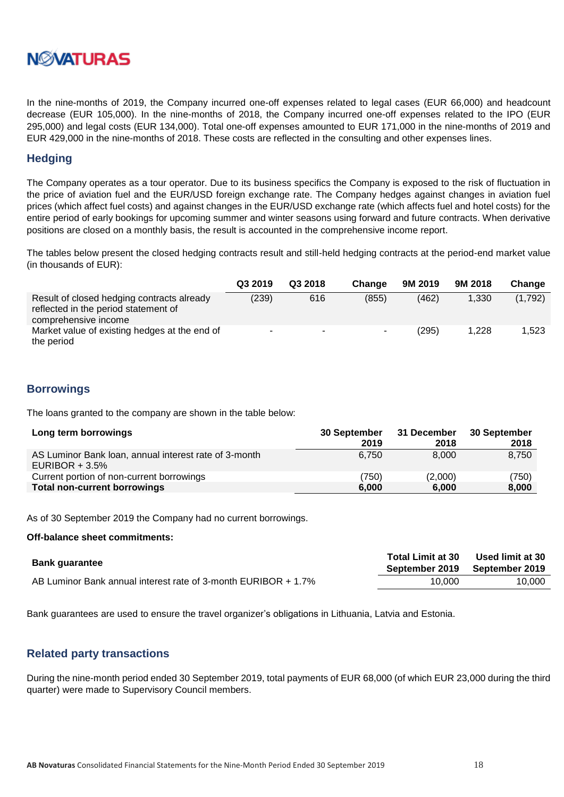

In the nine-months of 2019, the Company incurred one-off expenses related to legal cases (EUR 66,000) and headcount decrease (EUR 105,000). In the nine-months of 2018, the Company incurred one-off expenses related to the IPO (EUR 295,000) and legal costs (EUR 134,000). Total one-off expenses amounted to EUR 171,000 in the nine-months of 2019 and EUR 429,000 in the nine-months of 2018. These costs are reflected in the consulting and other expenses lines.

#### <span id="page-17-0"></span>**Hedging**

The Company operates as a tour operator. Due to its business specifics the Company is exposed to the risk of fluctuation in the price of aviation fuel and the EUR/USD foreign exchange rate. The Company hedges against changes in aviation fuel prices (which affect fuel costs) and against changes in the EUR/USD exchange rate (which affects fuel and hotel costs) for the entire period of early bookings for upcoming summer and winter seasons using forward and future contracts. When derivative positions are closed on a monthly basis, the result is accounted in the comprehensive income report.

The tables below present the closed hedging contracts result and still-held hedging contracts at the period-end market value (in thousands of EUR):

|                                                                                                            | Q3 2019 | Q3 2018 | Change | 9M 2019 | 9M 2018 | Change  |
|------------------------------------------------------------------------------------------------------------|---------|---------|--------|---------|---------|---------|
| Result of closed hedging contracts already<br>reflected in the period statement of<br>comprehensive income | (239)   | 616     | (855)  | (462)   | 1.330   | (1,792) |
| Market value of existing hedges at the end of<br>the period                                                | $\sim$  | $\sim$  | -      | (295)   | 1.228   | 1.523   |

#### <span id="page-17-1"></span>**Borrowings**

The loans granted to the company are shown in the table below:

| Long term borrowings                                                       | 30 September | 31 December | 30 September |
|----------------------------------------------------------------------------|--------------|-------------|--------------|
|                                                                            | 2019         | 2018        | 2018         |
| AS Luminor Bank Ioan, annual interest rate of 3-month<br>EURIBOR + $3.5\%$ | 6.750        | 8.000       | 8,750        |
| Current portion of non-current borrowings                                  | (750)        | (2,000)     | (750)        |
| <b>Total non-current borrowings</b>                                        | 6.000        | 6.000       | 8,000        |

As of 30 September 2019 the Company had no current borrowings.

#### **Off-balance sheet commitments:**

| <b>Bank guarantee</b>                                          | <b>Total Limit at 30</b> | Used limit at 30<br>September 2019 September 2019 |
|----------------------------------------------------------------|--------------------------|---------------------------------------------------|
| AB Luminor Bank annual interest rate of 3-month EURIBOR + 1.7% | 10.000                   | 10.000                                            |

Bank guarantees are used to ensure the travel organizer's obligations in Lithuania, Latvia and Estonia.

#### <span id="page-17-2"></span>**Related party transactions**

During the nine-month period ended 30 September 2019, total payments of EUR 68,000 (of which EUR 23,000 during the third quarter) were made to Supervisory Council members.